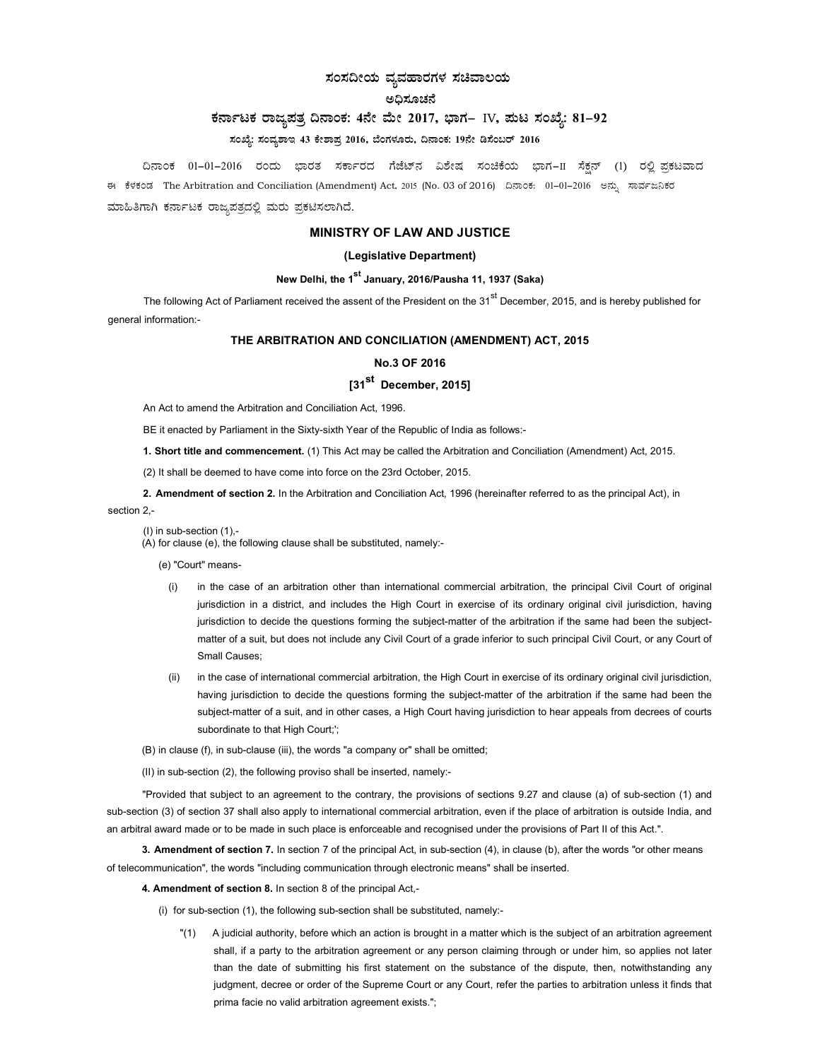## ಸಂಸದೀಯ ವ್ಯವಹಾರಗಳ ಸಚಿವಾಲಯ

### ಅದಿಸೂಚನೆ

## ಕರ್ನಾಟಕ ರಾಜ್ಯಪತ್ರ ದಿನಾಂಕ: 4ನೇ ಮೇ 2017, ಭಾಗ– IV, ಮಟ ಸಂಖ್ಯೆ: 81-92

## ಸಂಖ್ಯೆ: ಸಂವ್ಯಶಾಇ 43 ಕೇಶಾಪ್ರ 2016, ಬೆಂಗಳೂರು, ದಿನಾಂಕ: 19ನೇ ಡಿಸೆಂಬರ್ 2016

ದಿನಾಂಕ 01−01−2016 ರಂದು ಭಾರತ ಸರ್ಕಾರದ ಗೆಜೆಟ್ನ ವಿಶೇಷ ಸಂಚಿಕೆಯ ಭಾಗ−II ಸೆಕ್ಷನ್ (1) ರಲ್ಲಿ ಪ್ರಕಟವಾದ ಕ್ಕೆ ಕೆಳಕಂಡ The Arbitration and Conciliation (Amendment) Act, 2015 (No. 03 of 2016) ದಿನಾಂಕ: 01-01-2016 ಅನ್ಸು ಸಾರ್ವಜನಿಕರ ಮಾಹಿತಿಗಾಗಿ ಕರ್ನಾಟಕ ರಾಜ್ಯಪತ್ರದಲ್ಲಿ ಮರು ಪ್ರಕಟಿಸಲಾಗಿದೆ.

## MINISTRY OF LAW AND JUSTICE

## (Legislative Department)

## New Delhi, the 1<sup>st</sup> January, 2016/Pausha 11, 1937 (Saka)

The following Act of Parliament received the assent of the President on the  $31<sup>st</sup>$  December, 2015, and is hereby published for general information:-

## THE ARBITRATION AND CONCILIATION (AMENDMENT) ACT, 2015

## No.3 OF 2016

# [31<sup>st</sup> December, 2015]

An Act to amend the Arbitration and Conciliation Act, 1996.

BE it enacted by Parliament in the Sixty-sixth Year of the Republic of India as follows:-

1. Short title and commencement. (1) This Act may be called the Arbitration and Conciliation (Amendment) Act, 2015.

(2) It shall be deemed to have come into force on the 23rd October, 2015.

2. Amendment of section 2. In the Arbitration and Conciliation Act, 1996 (hereinafter referred to as the principal Act), in section 2 -

(I) in sub-section (1),-  $(A)$  for clause (e), the following clause shall be substituted, namely:-

(e) "Court" means-

- (i) in the case of an arbitration other than international commercial arbitration, the principal Civil Court of original jurisdiction in a district, and includes the High Court in exercise of its ordinary original civil jurisdiction, having jurisdiction to decide the questions forming the subject-matter of the arbitration if the same had been the subjectmatter of a suit, but does not include any Civil Court of a grade inferior to such principal Civil Court, or any Court of Small Causes;
- (ii) in the case of international commercial arbitration, the High Court in exercise of its ordinary original civil jurisdiction, having jurisdiction to decide the questions forming the subject-matter of the arbitration if the same had been the subject-matter of a suit, and in other cases, a High Court having jurisdiction to hear appeals from decrees of courts subordinate to that High Court;';

(B) in clause (f), in sub-clause (iii), the words "a company or" shall be omitted;

(II) in sub-section (2), the following proviso shall be inserted, namely:-

"Provided that subject to an agreement to the contrary, the provisions of sections 9.27 and clause (a) of sub-section (1) and sub-section (3) of section 37 shall also apply to international commercial arbitration, even if the place of arbitration is outside India, and an arbitral award made or to be made in such place is enforceable and recognised under the provisions of Part II of this Act.".

3. Amendment of section 7. In section 7 of the principal Act, in sub-section (4), in clause (b), after the words "or other means of telecommunication", the words "including communication through electronic means" shall be inserted.

4. Amendment of section 8. In section 8 of the principal Act,-

- (i) for sub-section (1), the following sub-section shall be substituted, namely:-
	- "(1) A judicial authority, before which an action is brought in a matter which is the subject of an arbitration agreement shall, if a party to the arbitration agreement or any person claiming through or under him, so applies not later than the date of submitting his first statement on the substance of the dispute, then, notwithstanding any judgment, decree or order of the Supreme Court or any Court, refer the parties to arbitration unless it finds that prima facie no valid arbitration agreement exists.";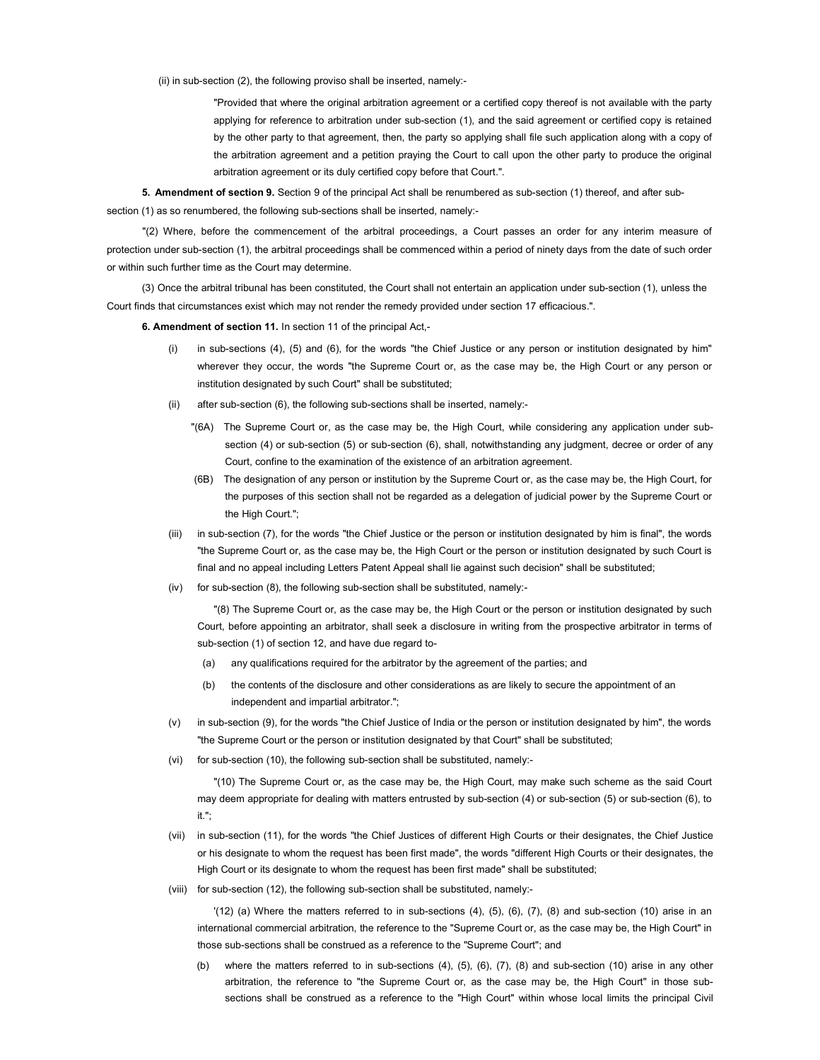(ii) in sub-section (2), the following proviso shall be inserted, namely:-

"Provided that where the original arbitration agreement or a certified copy thereof is not available with the party applying for reference to arbitration under sub-section (1), and the said agreement or certified copy is retained by the other party to that agreement, then, the party so applying shall file such application along with a copy of the arbitration agreement and a petition praying the Court to call upon the other party to produce the original arbitration agreement or its duly certified copy before that Court.".

5. Amendment of section 9. Section 9 of the principal Act shall be renumbered as sub-section (1) thereof, and after subsection (1) as so renumbered, the following sub-sections shall be inserted, namely:-

"(2) Where, before the commencement of the arbitral proceedings, a Court passes an order for any interim measure of protection under sub-section (1), the arbitral proceedings shall be commenced within a period of ninety days from the date of such order or within such further time as the Court may determine.

(3) Once the arbitral tribunal has been constituted, the Court shall not entertain an application under sub-section (1), unless the Court finds that circumstances exist which may not render the remedy provided under section 17 efficacious.".

6. Amendment of section 11. In section 11 of the principal Act,-

- (i) in sub-sections (4), (5) and (6), for the words "the Chief Justice or any person or institution designated by him" wherever they occur, the words "the Supreme Court or, as the case may be, the High Court or any person or institution designated by such Court" shall be substituted;
- (ii) after sub-section (6), the following sub-sections shall be inserted, namely:-
	- "(6A) The Supreme Court or, as the case may be, the High Court, while considering any application under subsection (4) or sub-section (5) or sub-section (6), shall, notwithstanding any judgment, decree or order of any Court, confine to the examination of the existence of an arbitration agreement.
	- (6B) The designation of any person or institution by the Supreme Court or, as the case may be, the High Court, for the purposes of this section shall not be regarded as a delegation of judicial power by the Supreme Court or the High Court.";
- (iii) in sub-section (7), for the words "the Chief Justice or the person or institution designated by him is final", the words "the Supreme Court or, as the case may be, the High Court or the person or institution designated by such Court is final and no appeal including Letters Patent Appeal shall lie against such decision" shall be substituted;
- (iv) for sub-section (8), the following sub-section shall be substituted, namely:-

"(8) The Supreme Court or, as the case may be, the High Court or the person or institution designated by such Court, before appointing an arbitrator, shall seek a disclosure in writing from the prospective arbitrator in terms of sub-section (1) of section 12, and have due regard to-

- (a) any qualifications required for the arbitrator by the agreement of the parties; and
- (b) the contents of the disclosure and other considerations as are likely to secure the appointment of an independent and impartial arbitrator.";
- (v) in sub-section (9), for the words "the Chief Justice of India or the person or institution designated by him", the words "the Supreme Court or the person or institution designated by that Court" shall be substituted;
- (vi) for sub-section (10), the following sub-section shall be substituted, namely:-

"(10) The Supreme Court or, as the case may be, the High Court, may make such scheme as the said Court may deem appropriate for dealing with matters entrusted by sub-section (4) or sub-section (5) or sub-section (6), to it.";

- (vii) in sub-section (11), for the words "the Chief Justices of different High Courts or their designates, the Chief Justice or his designate to whom the request has been first made", the words "different High Courts or their designates, the High Court or its designate to whom the request has been first made" shall be substituted;
- (viii) for sub-section (12), the following sub-section shall be substituted, namely:-

 $'(12)$  (a) Where the matters referred to in sub-sections  $(4)$ ,  $(5)$ ,  $(6)$ ,  $(7)$ ,  $(8)$  and sub-section  $(10)$  arise in an international commercial arbitration, the reference to the "Supreme Court or, as the case may be, the High Court" in those sub-sections shall be construed as a reference to the "Supreme Court"; and

(b) where the matters referred to in sub-sections (4), (5), (6), (7), (8) and sub-section (10) arise in any other arbitration, the reference to "the Supreme Court or, as the case may be, the High Court" in those subsections shall be construed as a reference to the "High Court" within whose local limits the principal Civil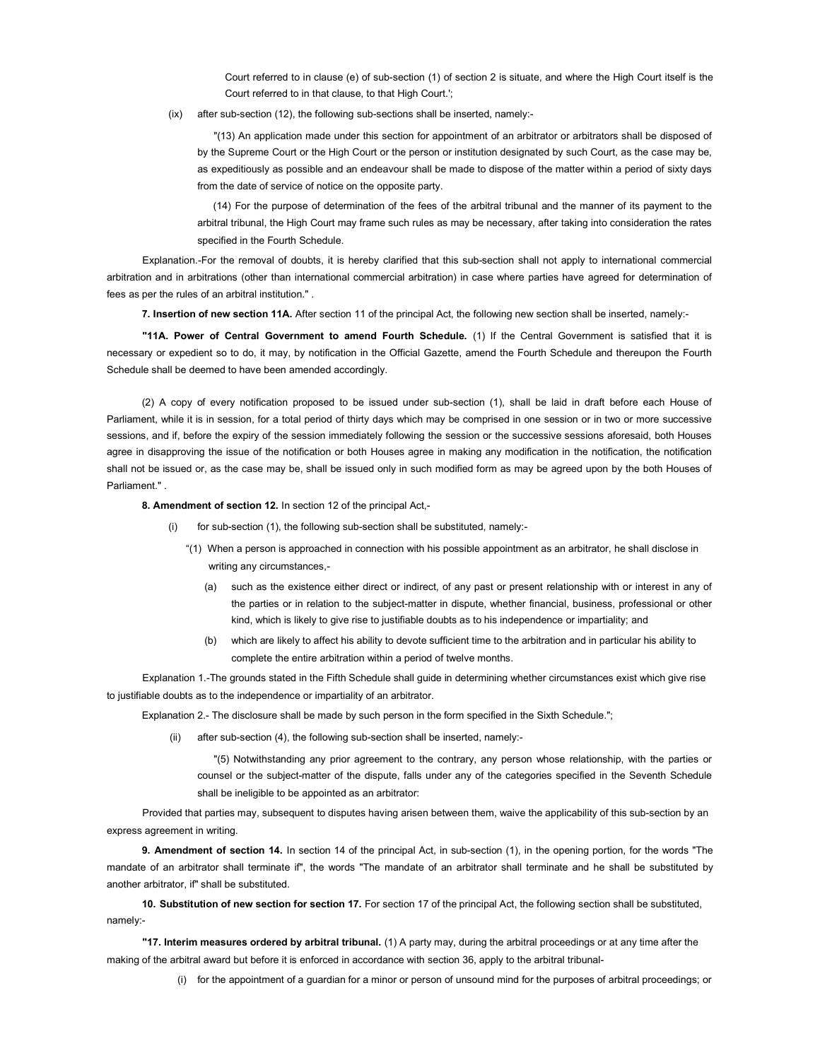Court referred to in clause (e) of sub-section (1) of section 2 is situate, and where the High Court itself is the Court referred to in that clause, to that High Court.';

(ix) after sub-section (12), the following sub-sections shall be inserted, namely:-

"(13) An application made under this section for appointment of an arbitrator or arbitrators shall be disposed of by the Supreme Court or the High Court or the person or institution designated by such Court, as the case may be, as expeditiously as possible and an endeavour shall be made to dispose of the matter within a period of sixty days from the date of service of notice on the opposite party.

(14) For the purpose of determination of the fees of the arbitral tribunal and the manner of its payment to the arbitral tribunal, the High Court may frame such rules as may be necessary, after taking into consideration the rates specified in the Fourth Schedule.

Explanation.-For the removal of doubts, it is hereby clarified that this sub-section shall not apply to international commercial arbitration and in arbitrations (other than international commercial arbitration) in case where parties have agreed for determination of fees as per the rules of an arbitral institution." .

7. Insertion of new section 11A. After section 11 of the principal Act, the following new section shall be inserted, namely:-

"11A. Power of Central Government to amend Fourth Schedule. (1) If the Central Government is satisfied that it is necessary or expedient so to do, it may, by notification in the Official Gazette, amend the Fourth Schedule and thereupon the Fourth Schedule shall be deemed to have been amended accordingly.

(2) A copy of every notification proposed to be issued under sub-section (1), shall be laid in draft before each House of Parliament, while it is in session, for a total period of thirty days which may be comprised in one session or in two or more successive sessions, and if, before the expiry of the session immediately following the session or the successive sessions aforesaid, both Houses agree in disapproving the issue of the notification or both Houses agree in making any modification in the notification, the notification shall not be issued or, as the case may be, shall be issued only in such modified form as may be agreed upon by the both Houses of Parliament."

8. Amendment of section 12. In section 12 of the principal Act,-

- for sub-section (1), the following sub-section shall be substituted, namely:-
	- "(1) When a person is approached in connection with his possible appointment as an arbitrator, he shall disclose in writing any circumstances,-
		- (a) such as the existence either direct or indirect, of any past or present relationship with or interest in any of the parties or in relation to the subject-matter in dispute, whether financial, business, professional or other kind, which is likely to give rise to justifiable doubts as to his independence or impartiality; and
		- (b) which are likely to affect his ability to devote sufficient time to the arbitration and in particular his ability to complete the entire arbitration within a period of twelve months.

Explanation 1.-The grounds stated in the Fifth Schedule shall guide in determining whether circumstances exist which give rise to justifiable doubts as to the independence or impartiality of an arbitrator.

Explanation 2.- The disclosure shall be made by such person in the form specified in the Sixth Schedule.";

(ii) after sub-section (4), the following sub-section shall be inserted, namely:-

"(5) Notwithstanding any prior agreement to the contrary, any person whose relationship, with the parties or counsel or the subject-matter of the dispute, falls under any of the categories specified in the Seventh Schedule shall be ineligible to be appointed as an arbitrator:

Provided that parties may, subsequent to disputes having arisen between them, waive the applicability of this sub-section by an express agreement in writing.

9. Amendment of section 14. In section 14 of the principal Act, in sub-section (1), in the opening portion, for the words "The mandate of an arbitrator shall terminate if", the words "The mandate of an arbitrator shall terminate and he shall be substituted by another arbitrator, if" shall be substituted.

10. Substitution of new section for section 17. For section 17 of the principal Act, the following section shall be substituted, namely:-

"17. Interim measures ordered by arbitral tribunal. (1) A party may, during the arbitral proceedings or at any time after the making of the arbitral award but before it is enforced in accordance with section 36, apply to the arbitral tribunal-

(i) for the appointment of a guardian for a minor or person of unsound mind for the purposes of arbitral proceedings; or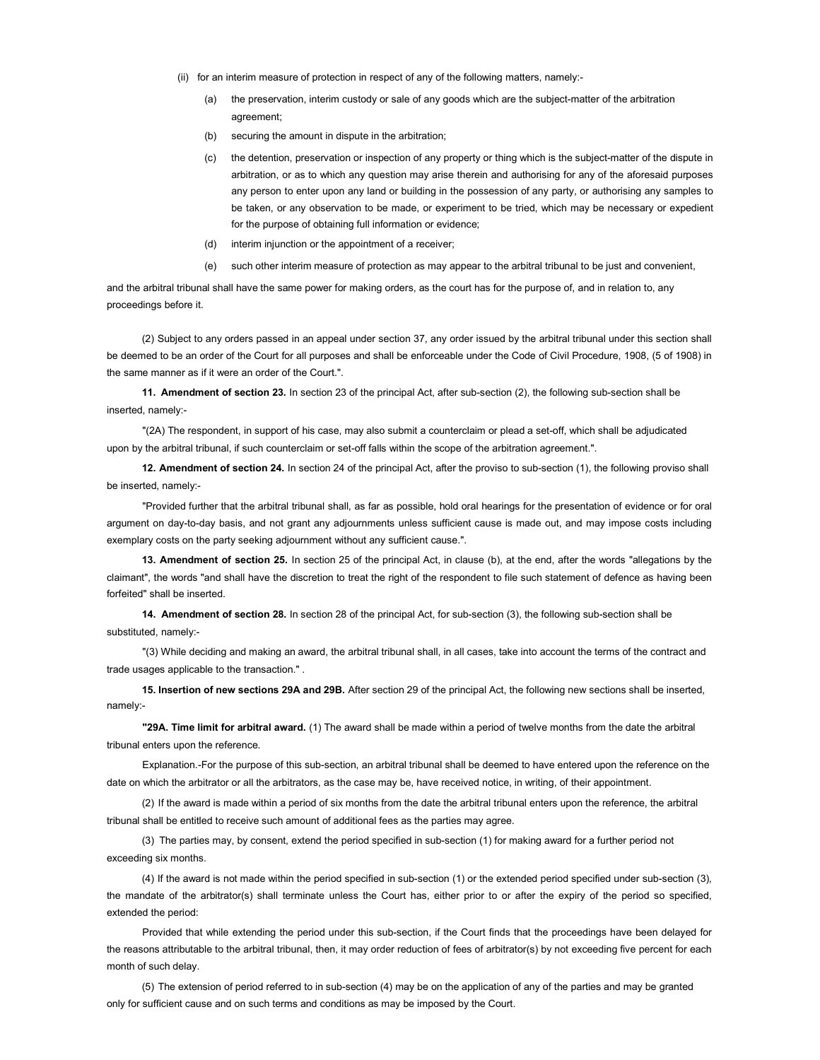- (ii) for an interim measure of protection in respect of any of the following matters, namely:-
	- (a) the preservation, interim custody or sale of any goods which are the subject-matter of the arbitration agreement;
	- (b) securing the amount in dispute in the arbitration;
	- (c) the detention, preservation or inspection of any property or thing which is the subject-matter of the dispute in arbitration, or as to which any question may arise therein and authorising for any of the aforesaid purposes any person to enter upon any land or building in the possession of any party, or authorising any samples to be taken, or any observation to be made, or experiment to be tried, which may be necessary or expedient for the purpose of obtaining full information or evidence;
	- (d) interim injunction or the appointment of a receiver;
	- (e) such other interim measure of protection as may appear to the arbitral tribunal to be just and convenient,

and the arbitral tribunal shall have the same power for making orders, as the court has for the purpose of, and in relation to, any proceedings before it.

(2) Subject to any orders passed in an appeal under section 37, any order issued by the arbitral tribunal under this section shall be deemed to be an order of the Court for all purposes and shall be enforceable under the Code of Civil Procedure, 1908, (5 of 1908) in the same manner as if it were an order of the Court."

11. Amendment of section 23. In section 23 of the principal Act, after sub-section (2), the following sub-section shall be inserted, namely:-

"(2A) The respondent, in support of his case, may also submit a counterclaim or plead a set-off, which shall be adjudicated upon by the arbitral tribunal, if such counterclaim or set-off falls within the scope of the arbitration agreement.".

12. Amendment of section 24. In section 24 of the principal Act, after the proviso to sub-section (1), the following proviso shall be inserted, namely:-

"Provided further that the arbitral tribunal shall, as far as possible, hold oral hearings for the presentation of evidence or for oral argument on day-to-day basis, and not grant any adjournments unless sufficient cause is made out, and may impose costs including exemplary costs on the party seeking adjournment without any sufficient cause.".

13. Amendment of section 25. In section 25 of the principal Act, in clause (b), at the end, after the words "allegations by the claimant", the words "and shall have the discretion to treat the right of the respondent to file such statement of defence as having been forfeited" shall be inserted.

14. Amendment of section 28. In section 28 of the principal Act, for sub-section (3), the following sub-section shall be substituted, namely:-

"(3) While deciding and making an award, the arbitral tribunal shall, in all cases, take into account the terms of the contract and trade usages applicable to the transaction." .

15. Insertion of new sections 29A and 29B. After section 29 of the principal Act, the following new sections shall be inserted, namely:-

"29A. Time limit for arbitral award. (1) The award shall be made within a period of twelve months from the date the arbitral tribunal enters upon the reference.

Explanation.-For the purpose of this sub-section, an arbitral tribunal shall be deemed to have entered upon the reference on the date on which the arbitrator or all the arbitrators, as the case may be, have received notice, in writing, of their appointment.

(2) If the award is made within a period of six months from the date the arbitral tribunal enters upon the reference, the arbitral tribunal shall be entitled to receive such amount of additional fees as the parties may agree.

(3) The parties may, by consent, extend the period specified in sub-section (1) for making award for a further period not exceeding six months.

(4) If the award is not made within the period specified in sub-section (1) or the extended period specified under sub-section (3), the mandate of the arbitrator(s) shall terminate unless the Court has, either prior to or after the expiry of the period so specified, extended the period:

Provided that while extending the period under this sub-section, if the Court finds that the proceedings have been delayed for the reasons attributable to the arbitral tribunal, then, it may order reduction of fees of arbitrator(s) by not exceeding five percent for each month of such delay.

(5) The extension of period referred to in sub-section (4) may be on the application of any of the parties and may be granted only for sufficient cause and on such terms and conditions as may be imposed by the Court.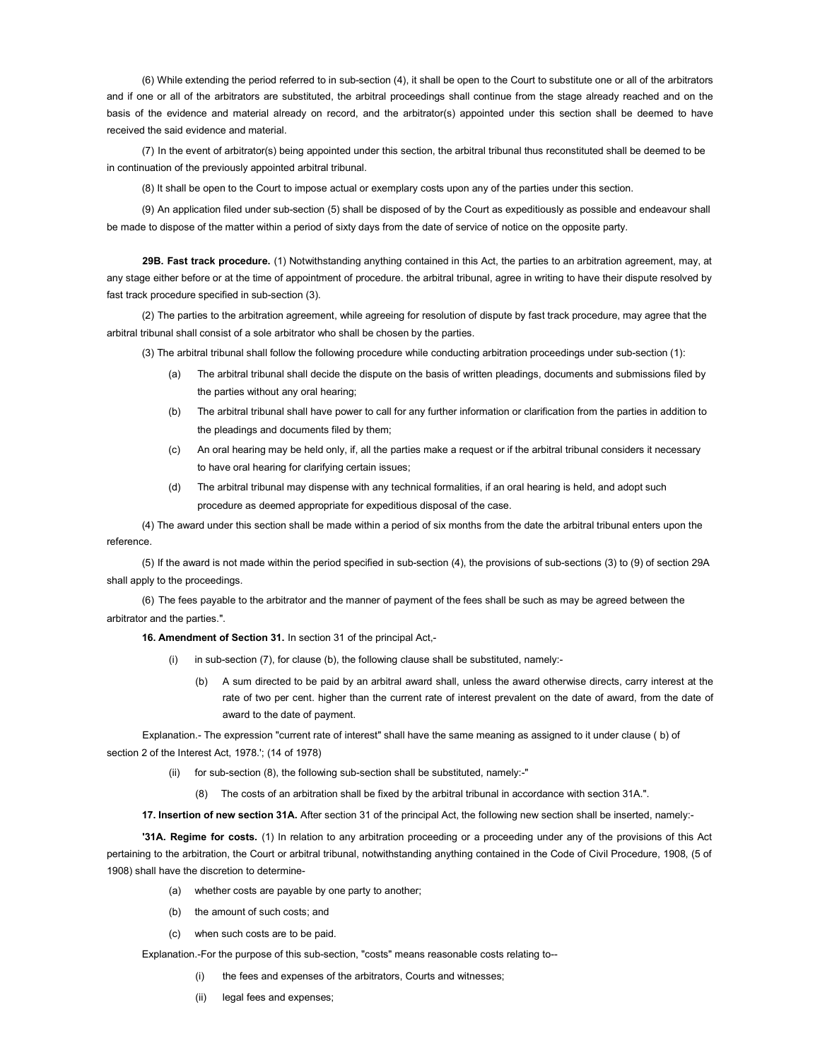(6) While extending the period referred to in sub-section (4), it shall be open to the Court to substitute one or all of the arbitrators and if one or all of the arbitrators are substituted, the arbitral proceedings shall continue from the stage already reached and on the basis of the evidence and material already on record, and the arbitrator(s) appointed under this section shall be deemed to have received the said evidence and material.

(7) In the event of arbitrator(s) being appointed under this section, the arbitral tribunal thus reconstituted shall be deemed to be in continuation of the previously appointed arbitral tribunal.

(8) It shall be open to the Court to impose actual or exemplary costs upon any of the parties under this section.

(9) An application filed under sub-section (5) shall be disposed of by the Court as expeditiously as possible and endeavour shall be made to dispose of the matter within a period of sixty days from the date of service of notice on the opposite party.

29B. Fast track procedure. (1) Notwithstanding anything contained in this Act, the parties to an arbitration agreement, may, at any stage either before or at the time of appointment of procedure. the arbitral tribunal, agree in writing to have their dispute resolved by fast track procedure specified in sub-section (3).

(2) The parties to the arbitration agreement, while agreeing for resolution of dispute by fast track procedure, may agree that the arbitral tribunal shall consist of a sole arbitrator who shall be chosen by the parties.

(3) The arbitral tribunal shall follow the following procedure while conducting arbitration proceedings under sub-section (1):

- (a) The arbitral tribunal shall decide the dispute on the basis of written pleadings, documents and submissions filed by the parties without any oral hearing;
- (b) The arbitral tribunal shall have power to call for any further information or clarification from the parties in addition to the pleadings and documents filed by them;
- (c) An oral hearing may be held only, if, all the parties make a request or if the arbitral tribunal considers it necessary to have oral hearing for clarifying certain issues;
- (d) The arbitral tribunal may dispense with any technical formalities, if an oral hearing is held, and adopt such procedure as deemed appropriate for expeditious disposal of the case.

(4) The award under this section shall be made within a period of six months from the date the arbitral tribunal enters upon the reference.

(5) If the award is not made within the period specified in sub-section (4), the provisions of sub-sections (3) to (9) of section 29A shall apply to the proceedings.

(6) The fees payable to the arbitrator and the manner of payment of the fees shall be such as may be agreed between the arbitrator and the parties.".

16. Amendment of Section 31. In section 31 of the principal Act,-

- (i) in sub-section (7), for clause (b), the following clause shall be substituted, namely:-
	- (b) A sum directed to be paid by an arbitral award shall, unless the award otherwise directs, carry interest at the rate of two per cent. higher than the current rate of interest prevalent on the date of award, from the date of award to the date of payment.

Explanation.- The expression "current rate of interest" shall have the same meaning as assigned to it under clause ( b) of section 2 of the Interest Act, 1978.'; (14 of 1978)

- (ii) for sub-section (8), the following sub-section shall be substituted, namely:-"
	- (8) The costs of an arbitration shall be fixed by the arbitral tribunal in accordance with section 31A.".

17. Insertion of new section 31A. After section 31 of the principal Act, the following new section shall be inserted, namely:-

'31A. Regime for costs. (1) In relation to any arbitration proceeding or a proceeding under any of the provisions of this Act pertaining to the arbitration, the Court or arbitral tribunal, notwithstanding anything contained in the Code of Civil Procedure, 1908, (5 of 1908) shall have the discretion to determine-

- (a) whether costs are payable by one party to another;
- (b) the amount of such costs; and
- (c) when such costs are to be paid.

Explanation.-For the purpose of this sub-section, "costs" means reasonable costs relating to--

- (i) the fees and expenses of the arbitrators, Courts and witnesses;
- (ii) legal fees and expenses: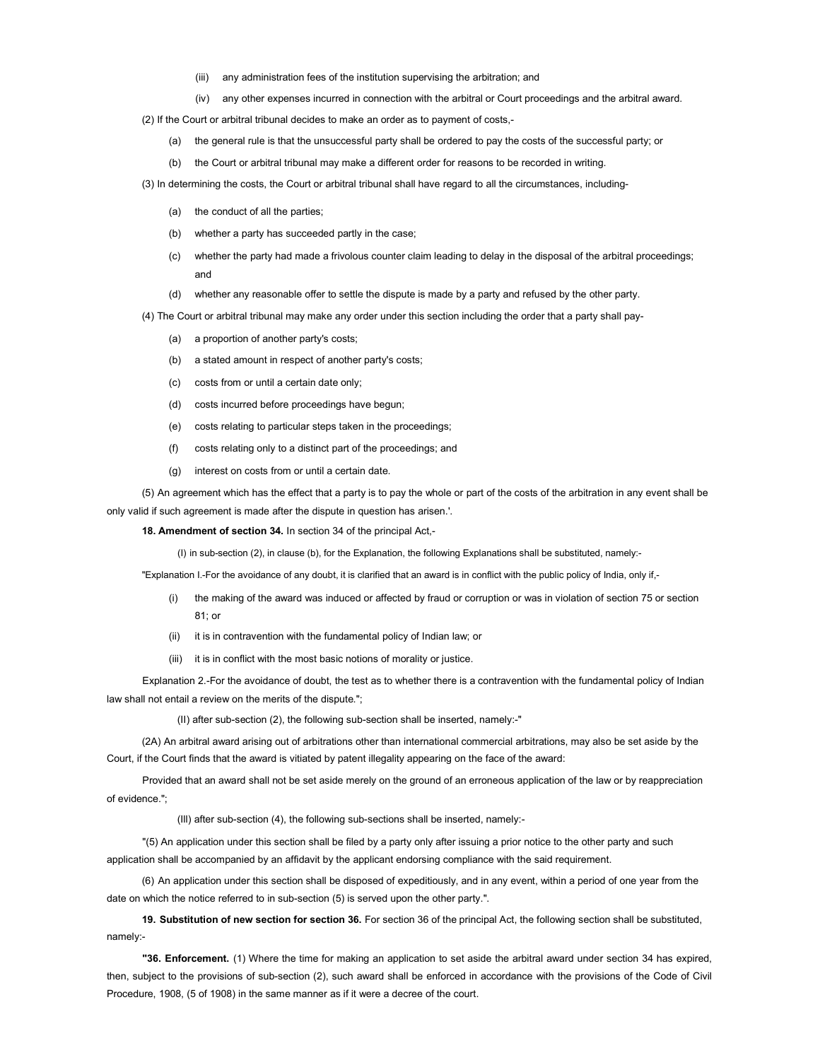- (iii) any administration fees of the institution supervising the arbitration; and
- (iv) any other expenses incurred in connection with the arbitral or Court proceedings and the arbitral award.

(2) If the Court or arbitral tribunal decides to make an order as to payment of costs,-

- (a) the general rule is that the unsuccessful party shall be ordered to pay the costs of the successful party; or
- (b) the Court or arbitral tribunal may make a different order for reasons to be recorded in writing.
- (3) In determining the costs, the Court or arbitral tribunal shall have regard to all the circumstances, including-
	- (a) the conduct of all the parties;
	- (b) whether a party has succeeded partly in the case;
	- (c) whether the party had made a frivolous counter claim leading to delay in the disposal of the arbitral proceedings; and
	- (d) whether any reasonable offer to settle the dispute is made by a party and refused by the other party.

(4) The Court or arbitral tribunal may make any order under this section including the order that a party shall pay-

- (a) a proportion of another party's costs;
- (b) a stated amount in respect of another party's costs;
- (c) costs from or until a certain date only;
- (d) costs incurred before proceedings have begun;
- (e) costs relating to particular steps taken in the proceedings;
- (f) costs relating only to a distinct part of the proceedings; and
- (g) interest on costs from or until a certain date.

(5) An agreement which has the effect that a party is to pay the whole or part of the costs of the arbitration in any event shall be only valid if such agreement is made after the dispute in question has arisen.'.

18. Amendment of section 34. In section 34 of the principal Act,-

(I) in sub-section (2), in clause (b), for the Explanation, the following Explanations shall be substituted, namely:-

"Explanation I.-For the avoidance of any doubt, it is clarified that an award is in conflict with the public policy of India, only if,-

- (i) the making of the award was induced or affected by fraud or corruption or was in violation of section 75 or section  $81:$  or
- (ii) it is in contravention with the fundamental policy of Indian law; or
- (iii) it is in conflict with the most basic notions of morality or justice.

Explanation 2.-For the avoidance of doubt, the test as to whether there is a contravention with the fundamental policy of Indian law shall not entail a review on the merits of the dispute.";

(II) after sub-section (2), the following sub-section shall be inserted, namely:-"

(2A) An arbitral award arising out of arbitrations other than international commercial arbitrations, may also be set aside by the Court, if the Court finds that the award is vitiated by patent illegality appearing on the face of the award:

Provided that an award shall not be set aside merely on the ground of an erroneous application of the law or by reappreciation of evidence.";

(Ill) after sub-section (4), the following sub-sections shall be inserted, namely:-

"(5) An application under this section shall be filed by a party only after issuing a prior notice to the other party and such application shall be accompanied by an affidavit by the applicant endorsing compliance with the said requirement.

(6) An application under this section shall be disposed of expeditiously, and in any event, within a period of one year from the date on which the notice referred to in sub-section (5) is served upon the other party.".

19. Substitution of new section for section 36. For section 36 of the principal Act, the following section shall be substituted, namely:-

"36. Enforcement. (1) Where the time for making an application to set aside the arbitral award under section 34 has expired, then, subject to the provisions of sub-section (2), such award shall be enforced in accordance with the provisions of the Code of Civil Procedure, 1908, (5 of 1908) in the same manner as if it were a decree of the court.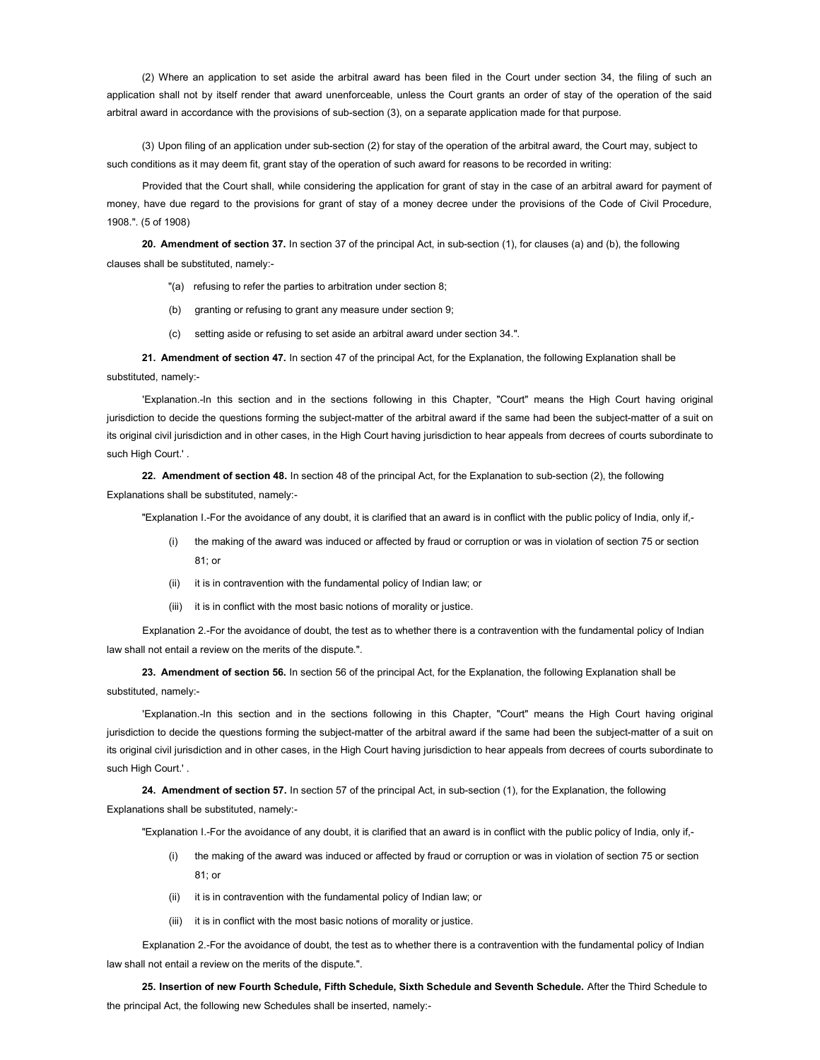(2) Where an application to set aside the arbitral award has been filed in the Court under section 34, the filing of such an application shall not by itself render that award unenforceable, unless the Court grants an order of stay of the operation of the said arbitral award in accordance with the provisions of sub-section (3), on a separate application made for that purpose.

(3) Upon filing of an application under sub-section (2) for stay of the operation of the arbitral award, the Court may, subject to such conditions as it may deem fit, grant stay of the operation of such award for reasons to be recorded in writing:

Provided that the Court shall, while considering the application for grant of stay in the case of an arbitral award for payment of money, have due regard to the provisions for grant of stay of a money decree under the provisions of the Code of Civil Procedure, 1908.". (5 of 1908)

20. Amendment of section 37. In section 37 of the principal Act, in sub-section (1), for clauses (a) and (b), the following clauses shall be substituted, namely:-

- "(a) refusing to refer the parties to arbitration under section 8;
- (b) granting or refusing to grant any measure under section 9;
- (c) setting aside or refusing to set aside an arbitral award under section 34.".

21. Amendment of section 47. In section 47 of the principal Act, for the Explanation, the following Explanation shall be substituted, namely:-

'Explanation.-In this section and in the sections following in this Chapter, "Court" means the High Court having original jurisdiction to decide the questions forming the subject-matter of the arbitral award if the same had been the subject-matter of a suit on its original civil jurisdiction and in other cases, in the High Court having jurisdiction to hear appeals from decrees of courts subordinate to such High Court.' .

22. Amendment of section 48. In section 48 of the principal Act, for the Explanation to sub-section (2), the following Explanations shall be substituted, namely:-

"Explanation I.-For the avoidance of any doubt, it is clarified that an award is in conflict with the public policy of India, only if,-

- (i) the making of the award was induced or affected by fraud or corruption or was in violation of section 75 or section 81; or
- (ii) it is in contravention with the fundamental policy of Indian law; or
- (iii) it is in conflict with the most basic notions of morality or justice.

Explanation 2.-For the avoidance of doubt, the test as to whether there is a contravention with the fundamental policy of Indian law shall not entail a review on the merits of the dispute.".

23. Amendment of section 56. In section 56 of the principal Act, for the Explanation, the following Explanation shall be substituted, namely:-

'Explanation.-In this section and in the sections following in this Chapter, "Court" means the High Court having original jurisdiction to decide the questions forming the subject-matter of the arbitral award if the same had been the subject-matter of a suit on its original civil jurisdiction and in other cases, in the High Court having jurisdiction to hear appeals from decrees of courts subordinate to such High Court.' .

24. Amendment of section 57. In section 57 of the principal Act, in sub-section (1), for the Explanation, the following Explanations shall be substituted, namely:-

"Explanation I.-For the avoidance of any doubt, it is clarified that an award is in conflict with the public policy of India, only if,-

- (i) the making of the award was induced or affected by fraud or corruption or was in violation of section 75 or section 81; or
- (ii) it is in contravention with the fundamental policy of Indian law; or
- (iii) it is in conflict with the most basic notions of morality or justice.

Explanation 2.-For the avoidance of doubt, the test as to whether there is a contravention with the fundamental policy of Indian law shall not entail a review on the merits of the dispute.".

25. Insertion of new Fourth Schedule, Fifth Schedule, Sixth Schedule and Seventh Schedule. After the Third Schedule to the principal Act, the following new Schedules shall be inserted, namely:-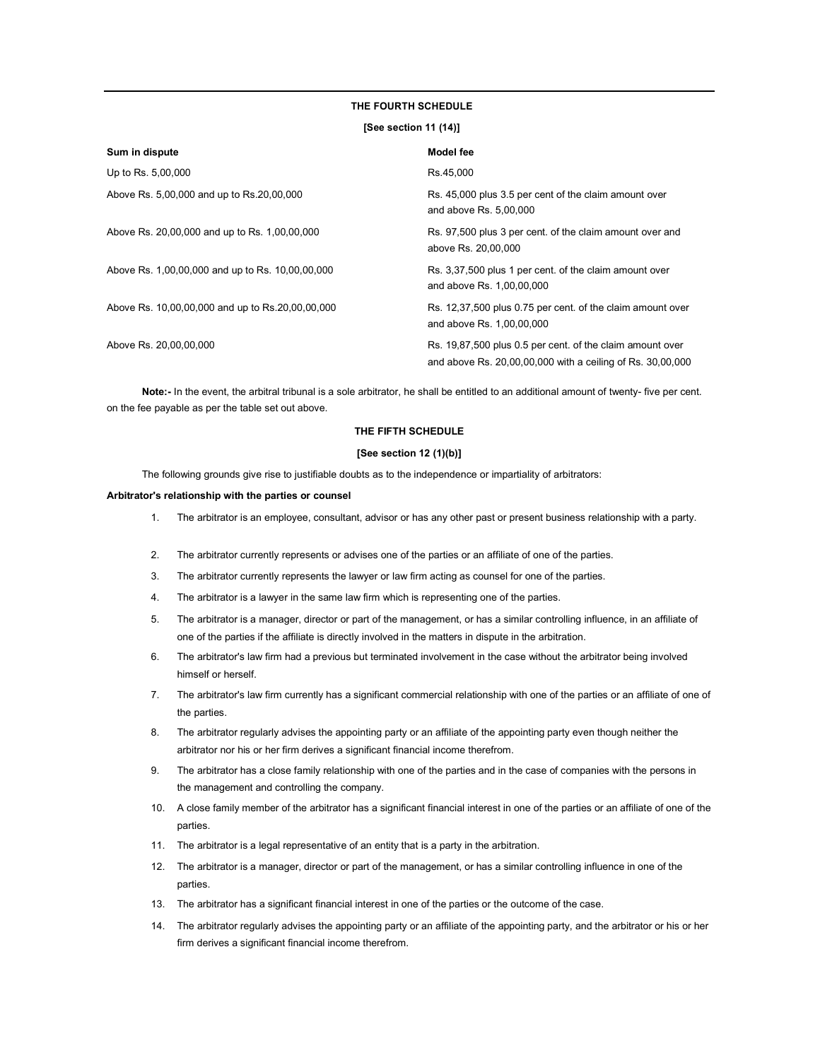#### THE FOURTH SCHEDULE

## [See section 11 (14)]

| Sum in dispute                                   | Model fee                                                                                                               |
|--------------------------------------------------|-------------------------------------------------------------------------------------------------------------------------|
| Up to Rs. 5,00,000                               | Rs.45,000                                                                                                               |
| Above Rs. 5,00,000 and up to Rs.20,00,000        | Rs. 45,000 plus 3.5 per cent of the claim amount over<br>and above Rs. 5,00,000                                         |
| Above Rs. 20,00,000 and up to Rs. 1,00,00,000    | Rs. 97,500 plus 3 per cent. of the claim amount over and<br>above Rs. 20,00,000                                         |
| Above Rs. 1,00,00,000 and up to Rs. 10,00,00,000 | Rs. 3,37,500 plus 1 per cent. of the claim amount over<br>and above Rs. 1,00,00,000                                     |
| Above Rs. 10,00,00,000 and up to Rs.20,00,00,000 | Rs. 12,37,500 plus 0.75 per cent. of the claim amount over<br>and above Rs. 1,00,00,000                                 |
| Above Rs. 20,00,00,000                           | Rs. 19,87,500 plus 0.5 per cent. of the claim amount over<br>and above Rs. 20,00,00,000 with a ceiling of Rs. 30,00,000 |

Note:- In the event, the arbitral tribunal is a sole arbitrator, he shall be entitled to an additional amount of twenty- five per cent. on the fee payable as per the table set out above.

#### THE FIFTH SCHEDULE

### [See section 12 (1)(b)]

The following grounds give rise to justifiable doubts as to the independence or impartiality of arbitrators:

#### Arbitrator's relationship with the parties or counsel

- 1. The arbitrator is an employee, consultant, advisor or has any other past or present business relationship with a party.
- 2. The arbitrator currently represents or advises one of the parties or an affiliate of one of the parties.
- 3. The arbitrator currently represents the lawyer or law firm acting as counsel for one of the parties.
- 4. The arbitrator is a lawyer in the same law firm which is representing one of the parties.
- 5. The arbitrator is a manager, director or part of the management, or has a similar controlling influence, in an affiliate of one of the parties if the affiliate is directly involved in the matters in dispute in the arbitration.
- 6. The arbitrator's law firm had a previous but terminated involvement in the case without the arbitrator being involved himself or herself.
- 7. The arbitrator's law firm currently has a significant commercial relationship with one of the parties or an affiliate of one of the parties.
- 8. The arbitrator regularly advises the appointing party or an affiliate of the appointing party even though neither the arbitrator nor his or her firm derives a significant financial income therefrom.
- 9. The arbitrator has a close family relationship with one of the parties and in the case of companies with the persons in the management and controlling the company.
- 10. A close family member of the arbitrator has a significant financial interest in one of the parties or an affiliate of one of the parties.
- 11. The arbitrator is a legal representative of an entity that is a party in the arbitration.
- 12. The arbitrator is a manager, director or part of the management, or has a similar controlling influence in one of the parties.
- 13. The arbitrator has a significant financial interest in one of the parties or the outcome of the case.
- 14. The arbitrator regularly advises the appointing party or an affiliate of the appointing party, and the arbitrator or his or her firm derives a significant financial income therefrom.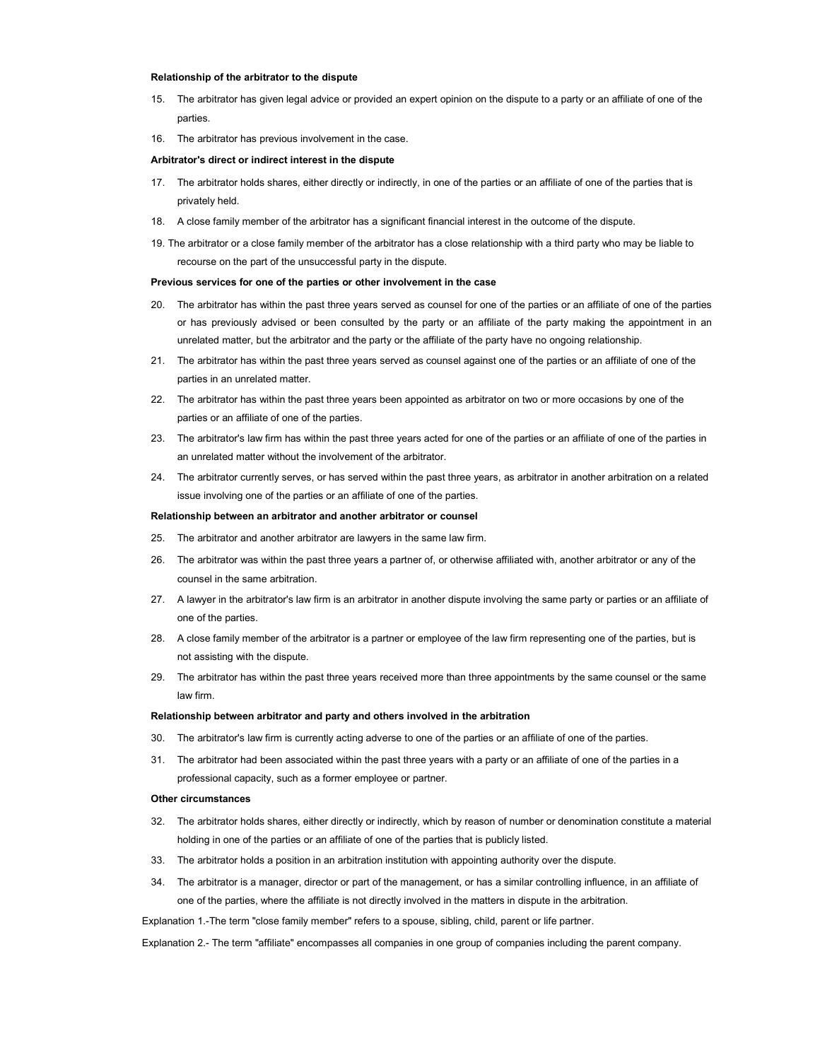#### Relationship of the arbitrator to the dispute

- 15. The arbitrator has given legal advice or provided an expert opinion on the dispute to a party or an affiliate of one of the parties.
- 16. The arbitrator has previous involvement in the case.

#### Arbitrator's direct or indirect interest in the dispute

- 17. The arbitrator holds shares, either directly or indirectly, in one of the parties or an affiliate of one of the parties that is privately held.
- 18. A close family member of the arbitrator has a significant financial interest in the outcome of the dispute.
- 19. The arbitrator or a close family member of the arbitrator has a close relationship with a third party who may be liable to recourse on the part of the unsuccessful party in the dispute.

#### Previous services for one of the parties or other involvement in the case

- 20. The arbitrator has within the past three years served as counsel for one of the parties or an affiliate of one of the parties or has previously advised or been consulted by the party or an affiliate of the party making the appointment in an unrelated matter, but the arbitrator and the party or the affiliate of the party have no ongoing relationship.
- 21. The arbitrator has within the past three years served as counsel against one of the parties or an affiliate of one of the parties in an unrelated matter.
- 22. The arbitrator has within the past three years been appointed as arbitrator on two or more occasions by one of the parties or an affiliate of one of the parties.
- 23. The arbitrator's law firm has within the past three years acted for one of the parties or an affiliate of one of the parties in an unrelated matter without the involvement of the arbitrator.
- 24. The arbitrator currently serves, or has served within the past three years, as arbitrator in another arbitration on a related issue involving one of the parties or an affiliate of one of the parties.

#### Relationship between an arbitrator and another arbitrator or counsel

- 25. The arbitrator and another arbitrator are lawyers in the same law firm.
- 26. The arbitrator was within the past three years a partner of, or otherwise affiliated with, another arbitrator or any of the counsel in the same arbitration.
- 27. A lawyer in the arbitrator's law firm is an arbitrator in another dispute involving the same party or parties or an affiliate of one of the parties.
- 28. A close family member of the arbitrator is a partner or employee of the law firm representing one of the parties, but is not assisting with the dispute.
- 29. The arbitrator has within the past three years received more than three appointments by the same counsel or the same law firm.

#### Relationship between arbitrator and party and others involved in the arbitration

- 30. The arbitrator's law firm is currently acting adverse to one of the parties or an affiliate of one of the parties.
- 31. The arbitrator had been associated within the past three years with a party or an affiliate of one of the parties in a professional capacity, such as a former employee or partner.

#### Other circumstances

- 32. The arbitrator holds shares, either directly or indirectly, which by reason of number or denomination constitute a material holding in one of the parties or an affiliate of one of the parties that is publicly listed.
- 33. The arbitrator holds a position in an arbitration institution with appointing authority over the dispute.
- 34. The arbitrator is a manager, director or part of the management, or has a similar controlling influence, in an affiliate of one of the parties, where the affiliate is not directly involved in the matters in dispute in the arbitration.

Explanation 1.-The term "close family member" refers to a spouse, sibling, child, parent or life partner.

Explanation 2.- The term "affiliate" encompasses all companies in one group of companies including the parent company.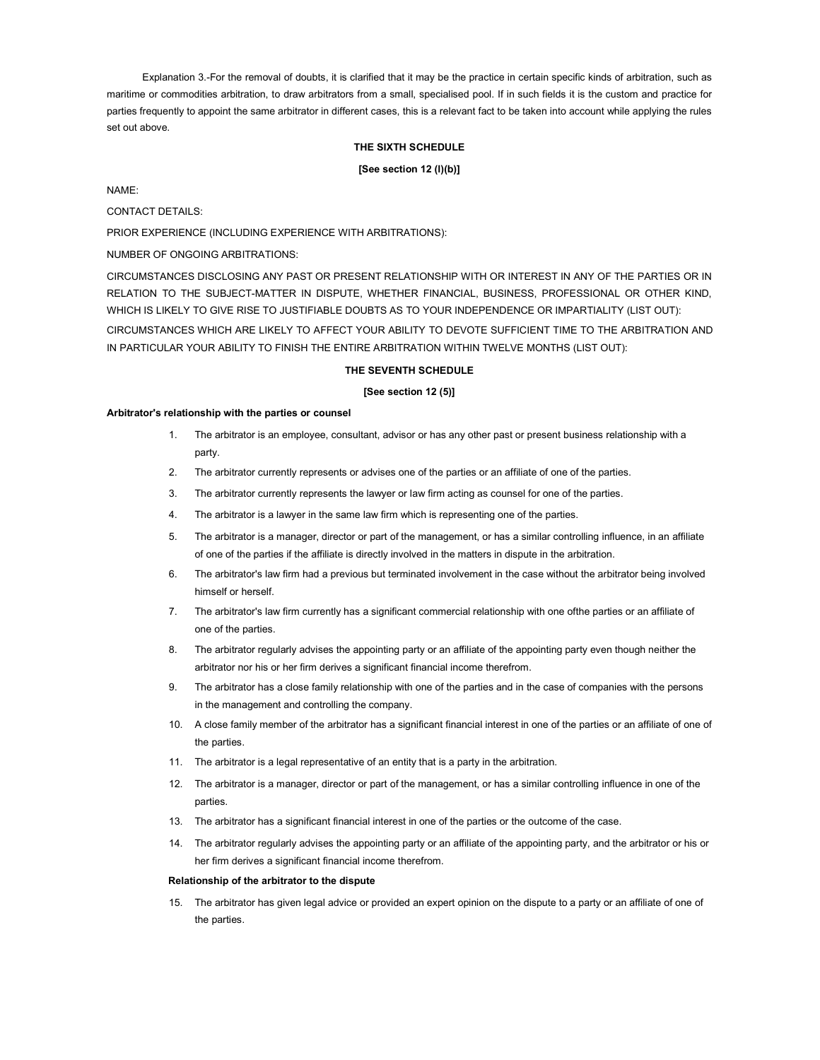Explanation 3.-For the removal of doubts, it is clarified that it may be the practice in certain specific kinds of arbitration, such as maritime or commodities arbitration, to draw arbitrators from a small, specialised pool. If in such fields it is the custom and practice for parties frequently to appoint the same arbitrator in different cases, this is a relevant fact to be taken into account while applying the rules set out above.

## THE SIXTH SCHEDULE

#### [See section 12 (l)(b)]

NAME:

CONTACT DETAILS:

PRIOR EXPERIENCE (INCLUDING EXPERIENCE WITH ARBITRATIONS):

NUMBER OF ONGOING ARBITRATIONS:

CIRCUMSTANCES DISCLOSING ANY PAST OR PRESENT RELATIONSHIP WITH OR INTEREST IN ANY OF THE PARTIES OR IN RELATION TO THE SUBJECT-MATTER IN DISPUTE, WHETHER FINANCIAL, BUSINESS, PROFESSIONAL OR OTHER KIND, WHICH IS LIKELY TO GIVE RISE TO JUSTIFIABLE DOUBTS AS TO YOUR INDEPENDENCE OR IMPARTIALITY (LIST OUT): CIRCUMSTANCES WHICH ARE LIKELY TO AFFECT YOUR ABILITY TO DEVOTE SUFFICIENT TIME TO THE ARBITRATION AND IN PARTICULAR YOUR ABILITY TO FINISH THE ENTIRE ARBITRATION WITHIN TWELVE MONTHS (LIST OUT):

#### THE SEVENTH SCHEDULE

#### [See section 12 (5)]

#### Arbitrator's relationship with the parties or counsel

- 1. The arbitrator is an employee, consultant, advisor or has any other past or present business relationship with a party.
- 2. The arbitrator currently represents or advises one of the parties or an affiliate of one of the parties.
- 3. The arbitrator currently represents the lawyer or law firm acting as counsel for one of the parties.
- 4. The arbitrator is a lawyer in the same law firm which is representing one of the parties.
- 5. The arbitrator is a manager, director or part of the management, or has a similar controlling influence, in an affiliate of one of the parties if the affiliate is directly involved in the matters in dispute in the arbitration.
- 6. The arbitrator's law firm had a previous but terminated involvement in the case without the arbitrator being involved himself or herself.
- 7. The arbitrator's law firm currently has a significant commercial relationship with one ofthe parties or an affiliate of one of the parties.
- 8. The arbitrator regularly advises the appointing party or an affiliate of the appointing party even though neither the arbitrator nor his or her firm derives a significant financial income therefrom.
- 9. The arbitrator has a close family relationship with one of the parties and in the case of companies with the persons in the management and controlling the company.
- 10. A close family member of the arbitrator has a significant financial interest in one of the parties or an affiliate of one of the parties.
- 11. The arbitrator is a legal representative of an entity that is a party in the arbitration.
- 12. The arbitrator is a manager, director or part of the management, or has a similar controlling influence in one of the parties.
- 13. The arbitrator has a significant financial interest in one of the parties or the outcome of the case.
- 14. The arbitrator regularly advises the appointing party or an affiliate of the appointing party, and the arbitrator or his or her firm derives a significant financial income therefrom.

#### Relationship of the arbitrator to the dispute

15. The arbitrator has given legal advice or provided an expert opinion on the dispute to a party or an affiliate of one of the parties.